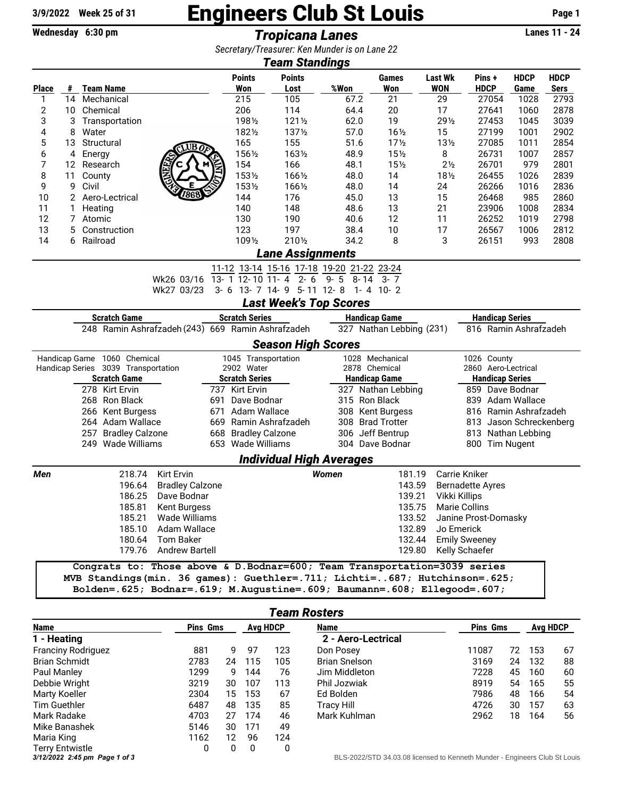## $\frac{3}{9}/2022$  Week 25 of 31 **Engineers Club St Louis** Page 1<br>Wednesday 6:30 pm<br>Tronicana Lanes

Wednesday 6:30 pm **Tropicana Lanes** 

*Secretary/Treasurer: Ken Munder is on Lane 22*

| <b>Team Standings</b>                                                                                                           |                |                   |                                     |                                                                            |                                      |                      |                                  |                         |                 |                        |                      |                         |             |              |  |  |
|---------------------------------------------------------------------------------------------------------------------------------|----------------|-------------------|-------------------------------------|----------------------------------------------------------------------------|--------------------------------------|----------------------|----------------------------------|-------------------------|-----------------|------------------------|----------------------|-------------------------|-------------|--------------|--|--|
|                                                                                                                                 |                |                   |                                     |                                                                            |                                      | <b>Points</b>        | <b>Points</b>                    |                         |                 | Games                  | <b>Last Wk</b>       | Pins +                  | <b>HDCP</b> | <b>HDCP</b>  |  |  |
| <b>Place</b>                                                                                                                    |                |                   | # Team Name                         |                                                                            |                                      | Won                  | Lost                             | %Won                    |                 | Won                    | <b>WON</b>           | <b>HDCP</b>             | Game        | Sers         |  |  |
| 1                                                                                                                               |                |                   | 14 Mechanical                       |                                                                            |                                      | 215                  | 105                              | 67.2                    |                 | 21                     | 29                   | 27054                   | 1028        | 2793         |  |  |
| 2                                                                                                                               | 10             |                   | Chemical                            |                                                                            |                                      | 206                  | 114                              | 64.4                    |                 | 20                     | 17                   | 27641                   | 1060        | 2878         |  |  |
| 3                                                                                                                               | 3              |                   | Transportation                      |                                                                            |                                      | 1981/2               | 1211/2                           | 62.0                    |                 | 19                     | 291/2                | 27453                   | 1045        | 3039         |  |  |
| 4                                                                                                                               | 8              | Water             |                                     |                                                                            |                                      | 1821/2               | 1371/2                           | 57.0                    |                 | $16\frac{1}{2}$        | 15                   | 27199                   | 1001        | 2902         |  |  |
| 5                                                                                                                               | 13             |                   | Structural                          | UB0                                                                        |                                      | 165<br>1561/2        | 155<br>1631/2                    | 51.6                    |                 | 17 <sub>2</sub><br>15% | $13\frac{1}{2}$      | 27085                   | 1011        | 2854<br>2857 |  |  |
| 6<br>7                                                                                                                          | 4<br>12        | Energy            | Research                            |                                                                            |                                      | 154                  | 166                              | 48.9<br>48.1            |                 | 15 <sub>2</sub>        | 8<br>$2\frac{1}{2}$  | 26731<br>26701          | 1007<br>979 | 2801         |  |  |
| 8                                                                                                                               | 11             | County            |                                     |                                                                            |                                      | 1531/2               | 1661/2                           | 48.0                    |                 | 14                     | $18\frac{1}{2}$      | 26455                   | 1026        | 2839         |  |  |
| 9                                                                                                                               | 9              | Civil             |                                     |                                                                            |                                      | 1531/2               | 1661/2                           | 48.0                    |                 | 14                     | 24                   | 26266                   | 1016        | 2836         |  |  |
| 10                                                                                                                              | $\overline{2}$ |                   | Aero-Lectrical                      | 7868                                                                       |                                      | 144                  | 176                              | 45.0                    |                 | 13                     | 15                   | 26468                   | 985         | 2860         |  |  |
| 11                                                                                                                              | 1              |                   |                                     |                                                                            |                                      | 140                  | 148                              | 48.6                    |                 | 13                     | 21                   | 23906                   | 1008        | 2834         |  |  |
| 12                                                                                                                              | 7              | Heating<br>Atomic |                                     |                                                                            |                                      | 130                  | 190                              | 40.6                    |                 | 12                     | 11                   | 26252                   | 1019        | 2798         |  |  |
| 13                                                                                                                              | 5              |                   | Construction                        |                                                                            |                                      | 123                  | 197                              | 38.4                    |                 | 10                     | 17                   | 26567                   | 1006        | 2812         |  |  |
| 14                                                                                                                              | 6              | Railroad          |                                     |                                                                            |                                      | 1091/2               | 2101/2                           | 34.2                    |                 | 8                      | 3                    | 26151                   | 993         | 2808         |  |  |
|                                                                                                                                 |                |                   |                                     |                                                                            |                                      |                      |                                  |                         |                 |                        |                      |                         |             |              |  |  |
| <b>Lane Assignments</b><br>11-12 13-14 15-16 17-18 19-20 21-22 23-24                                                            |                |                   |                                     |                                                                            |                                      |                      |                                  |                         |                 |                        |                      |                         |             |              |  |  |
|                                                                                                                                 |                |                   |                                     | Wk26 03/16                                                                 |                                      |                      | 13- 1 12- 10 11- 4 2- 6          | $9 - 5$<br>8-14         |                 | $3 - 7$                |                      |                         |             |              |  |  |
|                                                                                                                                 |                |                   |                                     | Wk27 03/23                                                                 |                                      |                      | 3-6 13-7 14-9 5-11 12-8 1-4 10-2 |                         |                 |                        |                      |                         |             |              |  |  |
|                                                                                                                                 |                |                   |                                     |                                                                            |                                      |                      |                                  |                         |                 |                        |                      |                         |             |              |  |  |
| <b>Last Week's Top Scores</b><br><b>Handicap Series</b><br><b>Scratch Game</b><br><b>Scratch Series</b><br><b>Handicap Game</b> |                |                   |                                     |                                                                            |                                      |                      |                                  |                         |                 |                        |                      |                         |             |              |  |  |
| 248 Ramin Ashrafzadeh (243) 669 Ramin Ashrafzadeh<br>327 Nathan Lebbing (231)<br>816 Ramin Ashrafzadeh                          |                |                   |                                     |                                                                            |                                      |                      |                                  |                         |                 |                        |                      |                         |             |              |  |  |
|                                                                                                                                 |                |                   |                                     |                                                                            |                                      |                      | <b>Season High Scores</b>        |                         |                 |                        |                      |                         |             |              |  |  |
|                                                                                                                                 |                |                   | Handicap Game 1060 Chemical         |                                                                            |                                      | 1045 Transportation  |                                  |                         | 1028 Mechanical |                        |                      | 1026 County             |             |              |  |  |
|                                                                                                                                 |                |                   | Handicap Series 3039 Transportation |                                                                            |                                      | 2902 Water           | 2878 Chemical                    |                         |                 |                        | 2860 Aero-Lectrical  |                         |             |              |  |  |
| <b>Scratch Game</b>                                                                                                             |                |                   |                                     |                                                                            | <b>Scratch Series</b>                | <b>Handicap Game</b> |                                  |                         |                 | <b>Handicap Series</b> |                      |                         |             |              |  |  |
| 278 Kirt Ervin                                                                                                                  |                |                   | 737 Kirt Ervin                      |                                                                            |                                      | 327 Nathan Lebbing   |                                  |                         | 859 Dave Bodnar |                        |                      |                         |             |              |  |  |
| 268 Ron Black                                                                                                                   |                |                   | 691 Dave Bodnar                     | 315 Ron Black                                                              |                                      |                      |                                  | 839 Adam Wallace        |                 |                        |                      |                         |             |              |  |  |
| 266 Kent Burgess<br>671                                                                                                         |                |                   | Adam Wallace                        |                                                                            |                                      | 308 Kent Burgess     |                                  | 816 Ramin Ashrafzadeh   |                 |                        |                      |                         |             |              |  |  |
| 264 Adam Wallace                                                                                                                |                |                   | 669 Ramin Ashrafzadeh               |                                                                            | 308 Brad Trotter<br>306 Jeff Bentrup |                      |                                  | 813 Jason Schreckenberg |                 |                        |                      |                         |             |              |  |  |
|                                                                                                                                 |                |                   | 257 Bradley Calzone                 |                                                                            |                                      | 668 Bradley Calzone  |                                  |                         |                 |                        |                      | 813 Nathan Lebbing      |             |              |  |  |
|                                                                                                                                 |                |                   | 249 Wade Williams                   |                                                                            |                                      | 653 Wade Williams    |                                  |                         |                 | 304 Dave Bodnar        |                      | 800 Tim Nugent          |             |              |  |  |
|                                                                                                                                 |                |                   |                                     |                                                                            |                                      |                      | <b>Individual High Averages</b>  |                         |                 |                        |                      |                         |             |              |  |  |
| Men                                                                                                                             |                |                   | 218.74                              | <b>Kirt Ervin</b>                                                          |                                      |                      |                                  | <b>Women</b>            |                 | 181.19                 |                      | <b>Carrie Kniker</b>    |             |              |  |  |
|                                                                                                                                 |                |                   | 196.64                              | <b>Bradley Calzone</b>                                                     |                                      |                      |                                  |                         |                 | 143.59                 |                      | <b>Bernadette Ayres</b> |             |              |  |  |
|                                                                                                                                 |                |                   | 186.25                              | Dave Bodnar                                                                |                                      |                      |                                  |                         |                 | 139.21                 |                      | Vikki Killips           |             |              |  |  |
| 185.81 Kent Burgess                                                                                                             |                |                   |                                     |                                                                            |                                      |                      |                                  |                         | 135.75          |                        | <b>Marie Collins</b> |                         |             |              |  |  |
| 185.21<br>Wade Williams                                                                                                         |                |                   |                                     |                                                                            | 133.52                               |                      |                                  |                         |                 | Janine Prost-Domasky   |                      |                         |             |              |  |  |
| 185.10<br>Adam Wallace                                                                                                          |                |                   |                                     |                                                                            |                                      |                      |                                  |                         |                 | 132.89                 |                      | Jo Emerick              |             |              |  |  |
| 180.64 Tom Baker                                                                                                                |                |                   |                                     |                                                                            | 132.44                               |                      |                                  |                         |                 |                        | <b>Emily Sweeney</b> |                         |             |              |  |  |
| 179.76 Andrew Bartell                                                                                                           |                |                   |                                     |                                                                            |                                      | 129.80               |                                  |                         |                 |                        |                      | Kelly Schaefer          |             |              |  |  |
|                                                                                                                                 |                |                   |                                     | Congrats to: Those above & D.Bodnar=600; Team Transportation=3039 series   |                                      |                      |                                  |                         |                 |                        |                      |                         |             |              |  |  |
|                                                                                                                                 |                |                   |                                     | MVB Standings (min. 36 games): Guethler=.711; Lichti=687; Hutchinson=.625; |                                      |                      |                                  |                         |                 |                        |                      |                         |             |              |  |  |
|                                                                                                                                 |                |                   |                                     | Bolden=.625; Bodnar=.619; M.Augustine=.609; Baumann=.608; Ellegood=.607;   |                                      |                      |                                  |                         |                 |                        |                      |                         |             |              |  |  |

| Team Rosters                  |                 |                 |     |      |                                                                          |                 |    |     |    |  |  |
|-------------------------------|-----------------|-----------------|-----|------|--------------------------------------------------------------------------|-----------------|----|-----|----|--|--|
| Name                          | <b>Pins Gms</b> | <b>Avg HDCP</b> |     | Name | <b>Pins Gms</b>                                                          | <b>Avg HDCP</b> |    |     |    |  |  |
| 1 - Heating                   |                 |                 |     |      | 2 - Aero-Lectrical                                                       |                 |    |     |    |  |  |
| <b>Franciny Rodriguez</b>     | 881             | 9               | 97  | 123  | Don Posey                                                                | 11087           | 72 | 153 | 67 |  |  |
| <b>Brian Schmidt</b>          | 2783            | 24              | 115 | 105  | <b>Brian Snelson</b>                                                     | 3169            | 24 | 132 | 88 |  |  |
| Paul Manley                   | 1299            | 9               | 144 | 76   | Jim Middleton                                                            | 7228            | 45 | 160 | 60 |  |  |
| Debbie Wright                 | 3219            | 30              | 107 | 113  | Phil Jozwiak                                                             | 8919            | 54 | 165 | 55 |  |  |
| Marty Koeller                 | 2304            | 15              | 153 | 67   | Ed Bolden                                                                | 7986            | 48 | 166 | 54 |  |  |
| Tim Guethler                  | 6487            | 48              | 135 | 85   | Tracy Hill                                                               | 4726            | 30 | 157 | 63 |  |  |
| Mark Radake                   | 4703            | 27              | 174 | 46   | Mark Kuhlman                                                             | 2962            | 18 | 164 | 56 |  |  |
| Mike Banashek                 | 5146            | 30              | 171 | 49   |                                                                          |                 |    |     |    |  |  |
| Maria King                    | 1162            | 12              | 96  | 124  |                                                                          |                 |    |     |    |  |  |
| <b>Terry Entwistle</b>        | 0               | 0               | 0   | 0    |                                                                          |                 |    |     |    |  |  |
| 3/12/2022 2:45 pm Page 1 of 3 |                 |                 |     |      | BLS-2022/STD 34.03.08 licensed to Kenneth Munder - Engineers Club St Lou |                 |    |     |    |  |  |